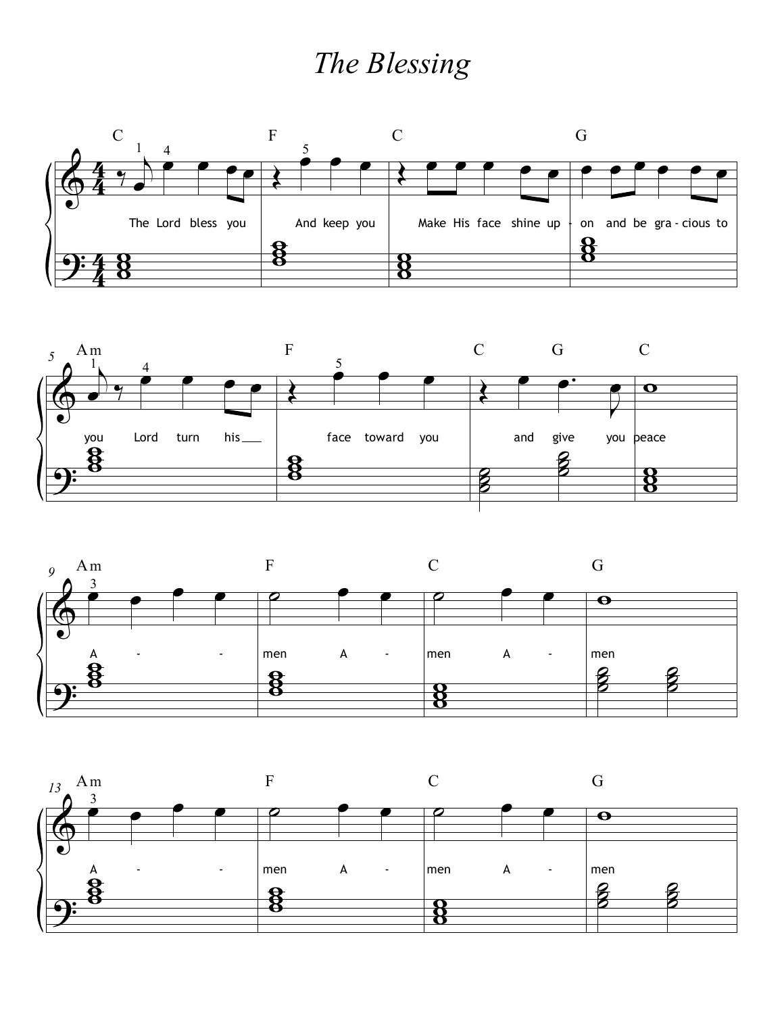## *The Blessing*